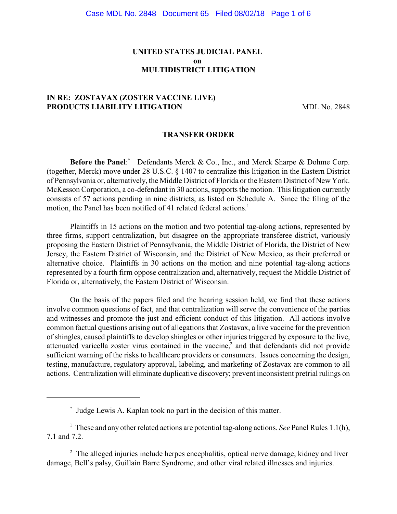## **UNITED STATES JUDICIAL PANEL on MULTIDISTRICT LITIGATION**

## **IN RE: ZOSTAVAX (ZOSTER VACCINE LIVE) PRODUCTS LIABILITY LITIGATION** MDL No. 2848

#### **TRANSFER ORDER**

**Before the Panel:** Defendants Merck & Co., Inc., and Merck Sharpe & Dohme Corp. (together, Merck) move under 28 U.S.C. § 1407 to centralize this litigation in the Eastern District of Pennsylvania or, alternatively, the Middle District of Florida or the Eastern District of New York. McKesson Corporation, a co-defendant in 30 actions, supports the motion. This litigation currently consists of 57 actions pending in nine districts, as listed on Schedule A. Since the filing of the motion, the Panel has been notified of 41 related federal actions.<sup>1</sup>

Plaintiffs in 15 actions on the motion and two potential tag-along actions, represented by three firms, support centralization, but disagree on the appropriate transferee district, variously proposing the Eastern District of Pennsylvania, the Middle District of Florida, the District of New Jersey, the Eastern District of Wisconsin, and the District of New Mexico, as their preferred or alternative choice. Plaintiffs in 30 actions on the motion and nine potential tag-along actions represented by a fourth firm oppose centralization and, alternatively, request the Middle District of Florida or, alternatively, the Eastern District of Wisconsin.

On the basis of the papers filed and the hearing session held, we find that these actions involve common questions of fact, and that centralization will serve the convenience of the parties and witnesses and promote the just and efficient conduct of this litigation. All actions involve common factual questions arising out of allegations that Zostavax, a live vaccine for the prevention of shingles, caused plaintiffs to develop shingles or other injuries triggered by exposure to the live, attenuated varicella zoster virus contained in the vaccine, $<sup>2</sup>$  and that defendants did not provide</sup> sufficient warning of the risks to healthcare providers or consumers. Issues concerning the design, testing, manufacture, regulatory approval, labeling, and marketing of Zostavax are common to all actions. Centralization will eliminate duplicative discovery; prevent inconsistent pretrial rulings on

Judge Lewis A. Kaplan took no part in the decision of this matter. \*

 $\frac{1}{1}$  These and any other related actions are potential tag-along actions. *See* Panel Rules 1.1(h), 7.1 and 7.2.

 $\alpha$ <sup>2</sup> The alleged injuries include herpes encephalitis, optical nerve damage, kidney and liver damage, Bell's palsy, Guillain Barre Syndrome, and other viral related illnesses and injuries.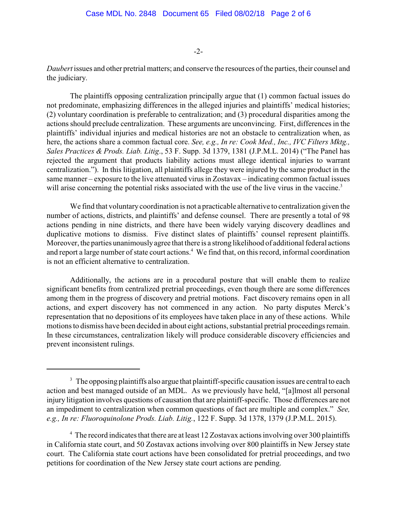-2-

*Daubert* issues and other pretrial matters; and conserve the resources of the parties, their counsel and the judiciary.

The plaintiffs opposing centralization principally argue that (1) common factual issues do not predominate, emphasizing differences in the alleged injuries and plaintiffs' medical histories; (2) voluntary coordination is preferable to centralization; and (3) procedural disparities among the actions should preclude centralization. These arguments are unconvincing. First, differences in the plaintiffs' individual injuries and medical histories are not an obstacle to centralization when, as here, the actions share a common factual core. *See, e.g., In re: Cook Med., Inc., IVC Filters Mktg., Sales Practices & Prods. Liab. Litig*., 53 F. Supp. 3d 1379, 1381 (J.P.M.L. 2014) ("The Panel has rejected the argument that products liability actions must allege identical injuries to warrant centralization."). In this litigation, all plaintiffs allege they were injured by the same product in the same manner – exposure to the live attenuated virus in Zostavax – indicating common factual issues will arise concerning the potential risks associated with the use of the live virus in the vaccine.<sup>3</sup>

We find that voluntary coordination is not a practicable alternative to centralization given the number of actions, districts, and plaintiffs' and defense counsel. There are presently a total of 98 actions pending in nine districts, and there have been widely varying discovery deadlines and duplicative motions to dismiss. Five distinct slates of plaintiffs' counsel represent plaintiffs. Moreover, the parties unanimouslyagree that there is a strong likelihood of additional federal actions and report a large number of state court actions.<sup>4</sup> We find that, on this record, informal coordination is not an efficient alternative to centralization.

Additionally, the actions are in a procedural posture that will enable them to realize significant benefits from centralized pretrial proceedings, even though there are some differences among them in the progress of discovery and pretrial motions. Fact discovery remains open in all actions, and expert discovery has not commenced in any action. No party disputes Merck's representation that no depositions of its employees have taken place in any of these actions. While motions to dismiss have been decided in about eight actions, substantial pretrial proceedings remain. In these circumstances, centralization likely will produce considerable discovery efficiencies and prevent inconsistent rulings.

 $3\text{ The opposing plaintext}$  also argue that plaintiff-specific causation issues are central to each action and best managed outside of an MDL. As we previously have held, "[a]lmost all personal injury litigation involves questions of causation that are plaintiff-specific. Those differences are not an impediment to centralization when common questions of fact are multiple and complex." *See, e.g., In re: Fluoroquinolone Prods. Liab. Litig.*, 122 F. Supp. 3d 1378, 1379 (J.P.M.L. 2015).

 $4\degree$  The record indicates that there are at least 12 Zostavax actions involving over 300 plaintiffs in California state court, and 50 Zostavax actions involving over 800 plaintiffs in New Jersey state court. The California state court actions have been consolidated for pretrial proceedings, and two petitions for coordination of the New Jersey state court actions are pending.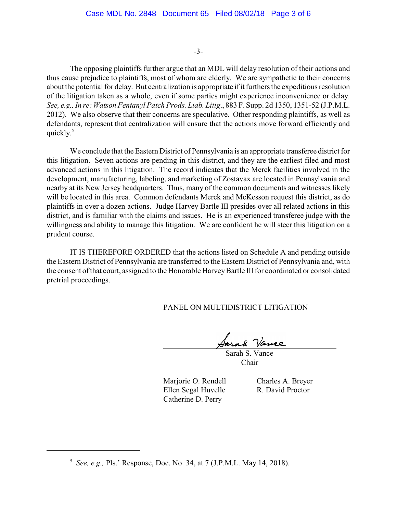### -3-

The opposing plaintiffs further argue that an MDL will delay resolution of their actions and thus cause prejudice to plaintiffs, most of whom are elderly. We are sympathetic to their concerns about the potential for delay. But centralization is appropriate if it furthers the expeditious resolution of the litigation taken as a whole, even if some parties might experience inconvenience or delay. *See, e.g., In re: Watson Fentanyl Patch Prods. Liab. Litig*., 883 F. Supp. 2d 1350, 1351-52 (J.P.M.L. 2012). We also observe that their concerns are speculative. Other responding plaintiffs, as well as defendants, represent that centralization will ensure that the actions move forward efficiently and quickly. 5

We conclude that the Eastern District of Pennsylvania is an appropriate transferee district for this litigation. Seven actions are pending in this district, and they are the earliest filed and most advanced actions in this litigation. The record indicates that the Merck facilities involved in the development, manufacturing, labeling, and marketing of Zostavax are located in Pennsylvania and nearby at its New Jersey headquarters. Thus, many of the common documents and witnesses likely will be located in this area. Common defendants Merck and McKesson request this district, as do plaintiffs in over a dozen actions. Judge Harvey Bartle III presides over all related actions in this district, and is familiar with the claims and issues. He is an experienced transferee judge with the willingness and ability to manage this litigation. We are confident he will steer this litigation on a prudent course.

IT IS THEREFORE ORDERED that the actions listed on Schedule A and pending outside the Eastern District of Pennsylvania are transferred to the Eastern District of Pennsylvania and, with the consent of that court, assigned to the Honorable Harvey Bartle III for coordinated or consolidated pretrial proceedings.

PANEL ON MULTIDISTRICT LITIGATION

Sarah Vance

 Sarah S. Vance Chair

Marjorie O. Rendell Charles A. Breyer Ellen Segal Huvelle R. David Proctor Catherine D. Perry

 $\overline{a}$ 

<sup>&</sup>lt;sup>5</sup> See, e.g., Pls.' Response, Doc. No. 34, at 7 (J.P.M.L. May 14, 2018).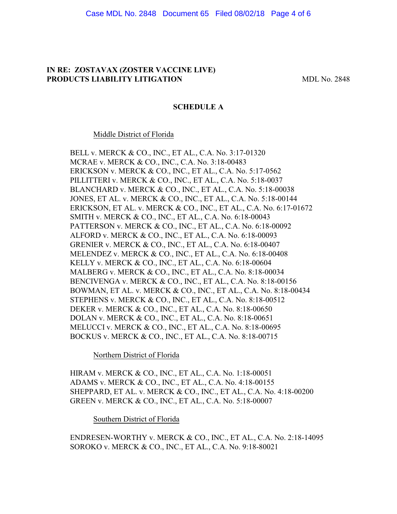### **IN RE: ZOSTAVAX (ZOSTER VACCINE LIVE) PRODUCTS LIABILITY LITIGATION** MDL No. 2848

### **SCHEDULE A**

#### Middle District of Florida

BELL v. MERCK & CO., INC., ET AL., C.A. No. 3:17-01320 MCRAE v. MERCK & CO., INC., C.A. No. 3:18-00483 ERICKSON v. MERCK & CO., INC., ET AL., C.A. No. 5:17-0562 PILLITTERI v. MERCK & CO., INC., ET AL., C.A. No. 5:18-0037 BLANCHARD v. MERCK & CO., INC., ET AL., C.A. No. 5:18-00038 JONES, ET AL. v. MERCK & CO., INC., ET AL., C.A. No. 5:18-00144 ERICKSON, ET AL. v. MERCK & CO., INC., ET AL., C.A. No. 6:17-01672 SMITH v. MERCK & CO., INC., ET AL., C.A. No. 6:18-00043 PATTERSON v. MERCK & CO., INC., ET AL., C.A. No. 6:18-00092 ALFORD v. MERCK & CO., INC., ET AL., C.A. No. 6:18-00093 GRENIER v. MERCK & CO., INC., ET AL., C.A. No. 6:18-00407 MELENDEZ v. MERCK & CO., INC., ET AL., C.A. No. 6:18-00408 KELLY v. MERCK & CO., INC., ET AL., C.A. No. 6:18-00604 MALBERG v. MERCK & CO., INC., ET AL., C.A. No. 8:18-00034 BENCIVENGA v. MERCK & CO., INC., ET AL., C.A. No. 8:18-00156 BOWMAN, ET AL. v. MERCK & CO., INC., ET AL., C.A. No. 8:18-00434 STEPHENS v. MERCK & CO., INC., ET AL., C.A. No. 8:18-00512 DEKER v. MERCK & CO., INC., ET AL., C.A. No. 8:18-00650 DOLAN v. MERCK & CO., INC., ET AL., C.A. No. 8:18-00651 MELUCCI v. MERCK & CO., INC., ET AL., C.A. No. 8:18-00695 BOCKUS v. MERCK & CO., INC., ET AL., C.A. No. 8:18-00715

Northern District of Florida

HIRAM v. MERCK & CO., INC., ET AL., C.A. No. 1:18-00051 ADAMS v. MERCK & CO., INC., ET AL., C.A. No. 4:18-00155 SHEPPARD, ET AL. v. MERCK & CO., INC., ET AL., C.A. No. 4:18-00200 GREEN v. MERCK & CO., INC., ET AL., C.A. No. 5:18-00007

Southern District of Florida

ENDRESEN-WORTHY v. MERCK & CO., INC., ET AL., C.A. No. 2:18-14095 SOROKO v. MERCK & CO., INC., ET AL., C.A. No. 9:18-80021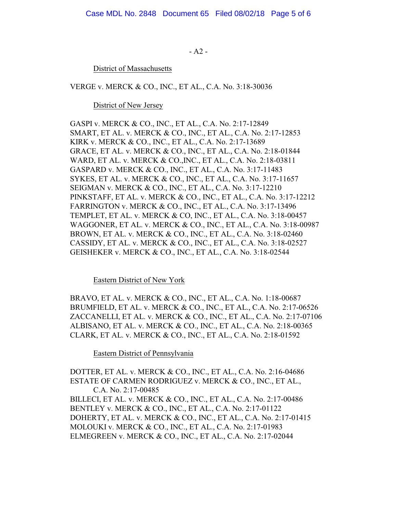- A2 -

District of Massachusetts

VERGE v. MERCK & CO., INC., ET AL., C.A. No. 3:18-30036

District of New Jersey

GASPI v. MERCK & CO., INC., ET AL., C.A. No. 2:17-12849 SMART, ET AL. v. MERCK & CO., INC., ET AL., C.A. No. 2:17-12853 KIRK v. MERCK & CO., INC., ET AL., C.A. No. 2:17-13689 GRACE, ET AL. v. MERCK & CO., INC., ET AL., C.A. No. 2:18-01844 WARD, ET AL. v. MERCK & CO.,INC., ET AL., C.A. No. 2:18-03811 GASPARD v. MERCK & CO., INC., ET AL., C.A. No. 3:17-11483 SYKES, ET AL. v. MERCK & CO., INC., ET AL., C.A. No. 3:17-11657 SEIGMAN v. MERCK & CO., INC., ET AL., C.A. No. 3:17-12210 PINKSTAFF, ET AL. v. MERCK & CO., INC., ET AL., C.A. No. 3:17-12212 FARRINGTON v. MERCK & CO., INC., ET AL., C.A. No. 3:17-13496 TEMPLET, ET AL. v. MERCK & CO, INC., ET AL., C.A. No. 3:18-00457 WAGGONER, ET AL. v. MERCK & CO., INC., ET AL., C.A. No. 3:18-00987 BROWN, ET AL. v. MERCK & CO., INC., ET AL., C.A. No. 3:18-02460 CASSIDY, ET AL. v. MERCK & CO., INC., ET AL., C.A. No. 3:18-02527 GEISHEKER v. MERCK & CO., INC., ET AL., C.A. No. 3:18-02544

## Eastern District of New York

BRAVO, ET AL. v. MERCK & CO., INC., ET AL., C.A. No. 1:18-00687 BRUMFIELD, ET AL. v. MERCK & CO., INC., ET AL., C.A. No. 2:17-06526 ZACCANELLI, ET AL. v. MERCK & CO., INC., ET AL., C.A. No. 2:17-07106 ALBISANO, ET AL. v. MERCK & CO., INC., ET AL., C.A. No. 2:18-00365 CLARK, ET AL. v. MERCK & CO., INC., ET AL., C.A. No. 2:18-01592

Eastern District of Pennsylvania

DOTTER, ET AL. v. MERCK & CO., INC., ET AL., C.A. No. 2:16-04686 ESTATE OF CARMEN RODRIGUEZ v. MERCK & CO., INC., ET AL., C.A. No. 2:17-00485 BILLECI, ET AL. v. MERCK & CO., INC., ET AL., C.A. No. 2:17-00486 BENTLEY v. MERCK & CO., INC., ET AL., C.A. No. 2:17-01122 DOHERTY, ET AL. v. MERCK & CO., INC., ET AL., C.A. No. 2:17-01415 MOLOUKI v. MERCK & CO., INC., ET AL., C.A. No. 2:17-01983 ELMEGREEN v. MERCK & CO., INC., ET AL., C.A. No. 2:17-02044